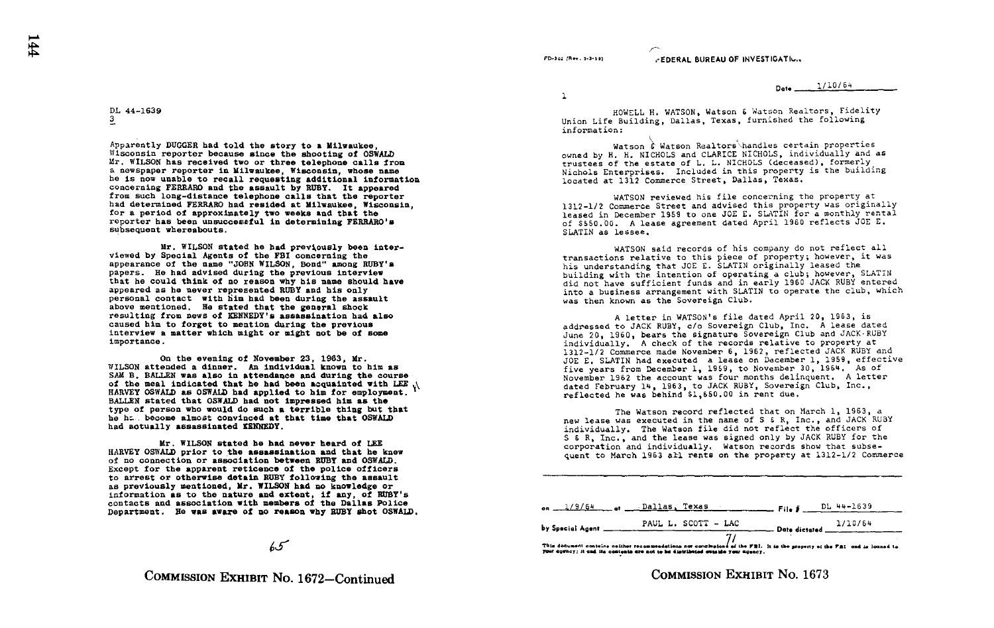roaa .,n...sasn .-EDERAL BUREAU OF INVESTIGATI-

Dote 1/10/64

DL 44-1639 3

Apparently DUGGER had told the story to a Milwaukee, Wisconsin reporter because since the shooting of OSWALD Mr. WILSON has received two or three telephone calls from s newspaper reporter in Milwaukee, Wisconsin, whose name he is now unable to recall requesting additional information concerning FERRARO and the assault by RUBY. It appeared from such long-distance telephone calls that the reporter had determined FERRARO had resided at Milwaukee, Wisconsin, for a period of approximately two weeks and that the reporter has been unsuccessful in determining FERRARO's subsequent whereabouts .

Mr. WILSON stated he had previously been interviewed by Special Agents of the FBI concerning the appearance of the name "JOHN WILSON, Bond" among RUBY's papers. He had advised during the previous interview that he could think of no reason why his name should have appeared as he never represented RUBY and his only personal contact with him had been during the assault above mentioned. He stated that the general shock resulting from news of KENNEDY'S assassination had also caused him to forget to mention during the previous interview a matter which might or might not be of some importance .

On the evening of November 23, 1963, Mr.<br>WILSON attended a dinner. An individual known to him as SAM B. BALLEN was also in attendance and during the course of the meal indicated that he had been acquainted with LEE HARVEY OSWALD as OSWALD had applied to him for employment.<br>BALLEN stated that OSWALD had not impressed him as the BALLEN stated that OSWALD had not impressed him as the<br>type of person who would do such a terrible thing but that he ha. become almost convinced at that time that OSWALD had actually assassinated KENNEDY.

Mr . WILSON stated he had never heard of LEE HARVEY OSWALD prior to the assassination and that he knew of no connection or association between RUBY and OSWALD.<br>Except for the apparent reticence of the police officers to arrest or otherwise detain RUBY following the assault to arrest or otherwise detain RUBY following the assault<br>as previously mentioned, Mr. WILSON had no knowledge or information as to the nature and extent, if any, of RUBY's contacts and association with members of the Dallas Police contacts and association with members of the Dallas Police Department . He was aware of no reason why RUBY shot OSWALD .

 $65$ 

COMMISSION EXHIBIT No. 1672-Continued

 $\mathbf{1}$ 

HOWELL H. WATSON, Watson & Watson Realtors, Fidelity Union Life Building, Dallas, Texas, furnished the following information :

Watson  $\hat{\epsilon}$  Watson Realtors handles certain properties owned by H. H. NICHOLS and CLARICE NICHOLS, individually and as trustees of the estate of L. L. NICHOLS (deceased), formerly Nichols Enterprises. Included in this property is the building located at 1312 Commerce Street, Dallas, Texas .

WATSON reviewed his file concerning the property at 1312-1/2 Commerce Street and advised this property was originally leased in December 1959 to one JOE E. SLATIN for a monthly rental of \$550 .00 . A lease agreement dated April 1960 reflects JOE <sup>E</sup> . SLATIN as lessee .

WATSON said records of his company do not reflect all transactions relative to this piece of property; however, it was his understanding that JOE E. SLATIN originally leased the building with the intention of operating a club; however, SLATIN did not have sufficient funds and in early 1960 JACK RUBY entered into <sup>a</sup> business arrangement with SLATIN to operate the club, which was then known as the Sovereign Club.

A letter in WATSON's file dated April 20, 1963, is<br>addressed to JACK RUBY, c/o Sovereign Club, Inc. A lease dated June 20, 1960, bears the signature Sovereign Club and JACK-RUBY individually . A check of the records relative to property at 1312-1/2 Commerce made November 6, 1962, reflected JACK RUBY and JOE E. SLATIN had executed a lease on December 1, 1959, effective five years from December 1, 1959, to November 30, 1964. As of November 1962 the account was four months delinquent. A letter dated February 14, 1963, to JACK RUBY, Sovereign Club, Inc., reflected he was behind \$1,650 .00 in rent due .

The Watson record reflected that on March 1, 1963, a new lease was executed in the name of S <sup>6</sup> R, Inc ., and JACK RUBY individually . The Watson file did not reflect the officers of S & R, Inc., and the lease was signed only by JACK RUBY for the corporation and individually. Watson records show that subsequent to March 1963 all rents on the property at 1312-1/2 Commerce

|                                                                                                                                                                                                             | $_{\text{on}}$ $\frac{1}{9/64}$ $_{\text{at}}$ $\frac{1}{9/64}$ $_{\text{at}}$ $\frac{1}{10}$ | $F_{\text{He}} = DL + + + 1639$                    |  |  |
|-------------------------------------------------------------------------------------------------------------------------------------------------------------------------------------------------------------|-----------------------------------------------------------------------------------------------|----------------------------------------------------|--|--|
|                                                                                                                                                                                                             | PAUL L. SCOTT - LAC                                                                           | $\frac{1/10/64}{2}$ Date dictated $\frac{1}{1/10}$ |  |  |
| This document contains neither recommendations nor conclusions of the FBI. It is the property of the FBI and is locaed to<br>your agency; it and its contents are not to be distributed events your agency. |                                                                                               |                                                    |  |  |

COMMISSION EXHIBIT No. 1673